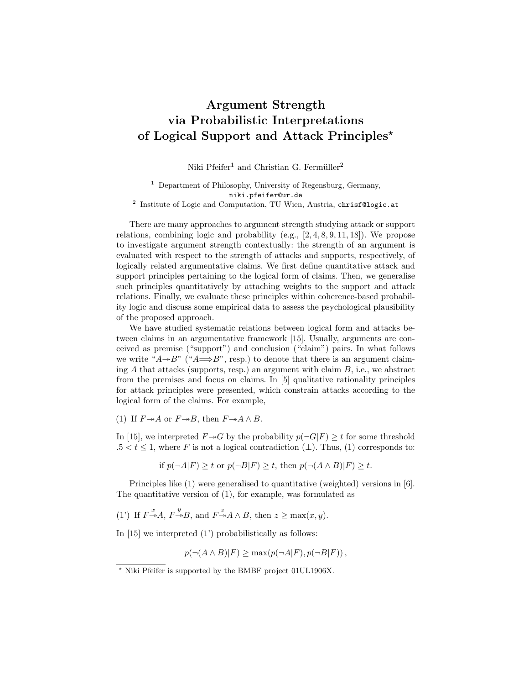## Argument Strength via Probabilistic Interpretations of Logical Support and Attack Principles?

Niki Pfeifer<sup>1</sup> and Christian G. Fermüller<sup>2</sup>

<sup>1</sup> Department of Philosophy, University of Regensburg, Germany, niki.pfeifer@ur.de <sup>2</sup> Institute of Logic and Computation, TU Wien, Austria, chrisf@logic.at

There are many approaches to argument strength studying attack or support relations, combining logic and probability  $(e.g., [2, 4, 8, 9, 11, 18])$ . We propose to investigate argument strength contextually: the strength of an argument is evaluated with respect to the strength of attacks and supports, respectively, of logically related argumentative claims. We first define quantitative attack and support principles pertaining to the logical form of claims. Then, we generalise such principles quantitatively by attaching weights to the support and attack relations. Finally, we evaluate these principles within coherence-based probability logic and discuss some empirical data to assess the psychological plausibility of the proposed approach.

We have studied systematic relations between logical form and attacks between claims in an argumentative framework [15]. Usually, arguments are conceived as premise ("support") and conclusion ("claim") pairs. In what follows we write " $A \rightarrow B$ " (" $A \rightarrow B$ ", resp.) to denote that there is an argument claiming  $A$  that attacks (supports, resp.) an argument with claim  $B$ , i.e., we abstract from the premises and focus on claims. In [5] qualitative rationality principles for attack principles were presented, which constrain attacks according to the logical form of the claims. For example,

(1) If  $F \rightarrow A$  or  $F \rightarrow B$ , then  $F \rightarrow A \wedge B$ .

In [15], we interpreted  $F\rightarrow G$  by the probability  $p(\neg G|F) \geq t$  for some threshold  $.5 < t \leq 1$ , where F is not a logical contradiction ( $\perp$ ). Thus, (1) corresponds to:

if 
$$
p(\neg A|F) \ge t
$$
 or  $p(\neg B|F) \ge t$ , then  $p(\neg (A \land B)|F) \ge t$ .

Principles like (1) were generalised to quantitative (weighted) versions in [6]. The quantitative version of (1), for example, was formulated as

(1) If  $F \rightarrow X^* A$ ,  $F \rightarrow Y^* B$ , and  $F \rightarrow X^* A \wedge B$ , then  $z \ge \max(x, y)$ .

In  $[15]$  we interpreted  $(1')$  probabilistically as follows:

$$
p(\neg(A \land B)|F) \ge \max(p(\neg A|F), p(\neg B|F)),
$$

<sup>?</sup> Niki Pfeifer is supported by the BMBF project 01UL1906X.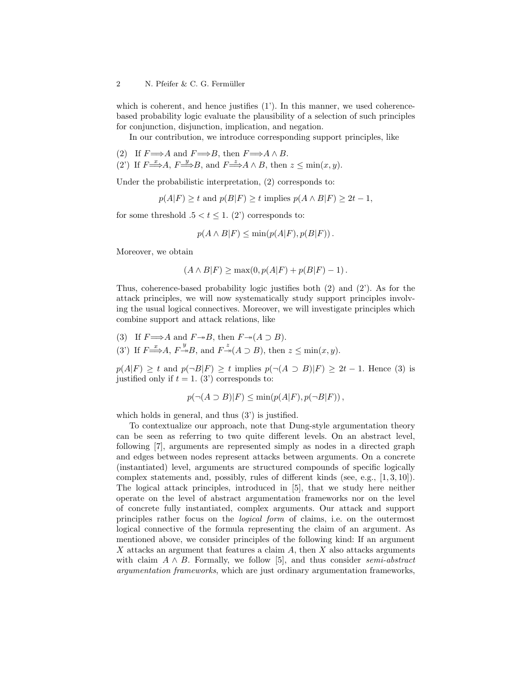which is coherent, and hence justifies  $(1')$ . In this manner, we used coherencebased probability logic evaluate the plausibility of a selection of such principles for conjunction, disjunction, implication, and negation.

In our contribution, we introduce corresponding support principles, like

- (2) If  $F \Longrightarrow A$  and  $F \Longrightarrow B$ , then  $F \Longrightarrow A \land B$ .
- (2) If  $F \stackrel{x}{\Longrightarrow} A$ ,  $F \stackrel{y}{\Longrightarrow} B$ , and  $F \stackrel{z}{\Longrightarrow} A \wedge B$ , then  $z \le \min(x, y)$ .

Under the probabilistic interpretation, (2) corresponds to:

$$
p(A|F) \ge t
$$
 and  $p(B|F) \ge t$  implies  $p(A \wedge B|F) \ge 2t - 1$ ,

for some threshold  $.5 < t \leq 1$ . (2') corresponds to:

$$
p(A \wedge B|F) \le \min(p(A|F), p(B|F)).
$$

Moreover, we obtain

$$
(A \wedge B|F) \ge \max(0, p(A|F) + p(B|F) - 1).
$$

Thus, coherence-based probability logic justifies both (2) and (2'). As for the attack principles, we will now systematically study support principles involving the usual logical connectives. Moreover, we will investigate principles which combine support and attack relations, like

(3) If 
$$
F \Longrightarrow A
$$
 and  $F \rightarrow B$ , then  $F \rightarrow (A \supset B)$ .  
\n(3') If  $F \Longrightarrow A$ ,  $F \rightarrow B$ , and  $F \rightarrow (A \supset B)$ , then  $z \le \min(x, y)$ .

 $p(A|F) \ge t$  and  $p(\neg B|F) \ge t$  implies  $p(\neg(A \supset B)|F) \ge 2t - 1$ . Hence (3) is justified only if  $t = 1$ . (3') corresponds to:

$$
p(\neg(A \supset B)|F) \le \min(p(A|F), p(\neg B|F)),
$$

which holds in general, and thus (3') is justified.

To contextualize our approach, note that Dung-style argumentation theory can be seen as referring to two quite different levels. On an abstract level, following [7], arguments are represented simply as nodes in a directed graph and edges between nodes represent attacks between arguments. On a concrete (instantiated) level, arguments are structured compounds of specific logically complex statements and, possibly, rules of different kinds (see, e.g., [1, 3, 10]). The logical attack principles, introduced in [5], that we study here neither operate on the level of abstract argumentation frameworks nor on the level of concrete fully instantiated, complex arguments. Our attack and support principles rather focus on the logical form of claims, i.e. on the outermost logical connective of the formula representing the claim of an argument. As mentioned above, we consider principles of the following kind: If an argument X attacks an argument that features a claim  $A$ , then  $X$  also attacks arguments with claim  $A \wedge B$ . Formally, we follow [5], and thus consider semi-abstract argumentation frameworks, which are just ordinary argumentation frameworks,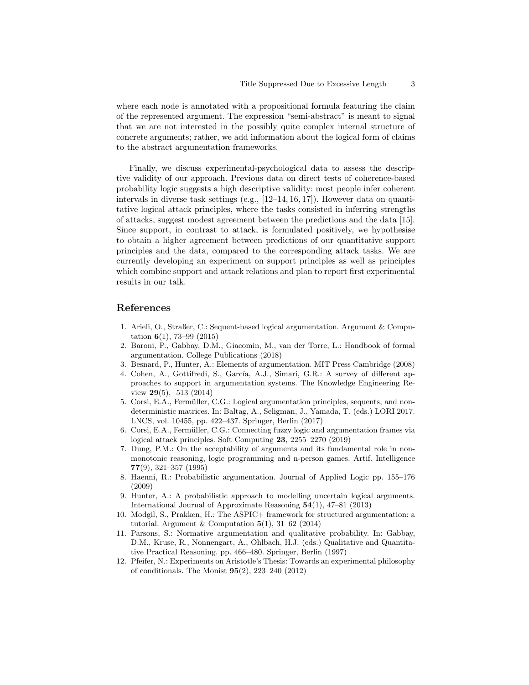where each node is annotated with a propositional formula featuring the claim of the represented argument. The expression "semi-abstract" is meant to signal that we are not interested in the possibly quite complex internal structure of concrete arguments; rather, we add information about the logical form of claims to the abstract argumentation frameworks.

Finally, we discuss experimental-psychological data to assess the descriptive validity of our approach. Previous data on direct tests of coherence-based probability logic suggests a high descriptive validity: most people infer coherent intervals in diverse task settings (e.g., [12–14, 16, 17]). However data on quantitative logical attack principles, where the tasks consisted in inferring strengths of attacks, suggest modest agreement between the predictions and the data [15]. Since support, in contrast to attack, is formulated positively, we hypothesise to obtain a higher agreement between predictions of our quantitative support principles and the data, compared to the corresponding attack tasks. We are currently developing an experiment on support principles as well as principles which combine support and attack relations and plan to report first experimental results in our talk.

## References

- 1. Arieli, O., Straßer, C.: Sequent-based logical argumentation. Argument & Computation  $6(1)$ , 73-99 (2015)
- 2. Baroni, P., Gabbay, D.M., Giacomin, M., van der Torre, L.: Handbook of formal argumentation. College Publications (2018)
- 3. Besnard, P., Hunter, A.: Elements of argumentation. MIT Press Cambridge (2008)
- 4. Cohen, A., Gottifredi, S., García, A.J., Simari, G.R.: A survey of different approaches to support in argumentation systems. The Knowledge Engineering Review 29(5), 513 (2014)
- 5. Corsi, E.A., Fermüller, C.G.: Logical argumentation principles, sequents, and nondeterministic matrices. In: Baltag, A., Seligman, J., Yamada, T. (eds.) LORI 2017. LNCS, vol. 10455, pp. 422–437. Springer, Berlin (2017)
- 6. Corsi, E.A., Fermüller, C.G.: Connecting fuzzy logic and argumentation frames via logical attack principles. Soft Computing 23, 2255–2270 (2019)
- 7. Dung, P.M.: On the acceptability of arguments and its fundamental role in nonmonotonic reasoning, logic programming and n-person games. Artif. Intelligence 77(9), 321–357 (1995)
- 8. Haenni, R.: Probabilistic argumentation. Journal of Applied Logic pp. 155–176 (2009)
- 9. Hunter, A.: A probabilistic approach to modelling uncertain logical arguments. International Journal of Approximate Reasoning 54(1), 47–81 (2013)
- 10. Modgil, S., Prakken, H.: The ASPIC+ framework for structured argumentation: a tutorial. Argument & Computation  $5(1)$ , 31–62 (2014)
- 11. Parsons, S.: Normative argumentation and qualitative probability. In: Gabbay, D.M., Kruse, R., Nonnengart, A., Ohlbach, H.J. (eds.) Qualitative and Quantitative Practical Reasoning. pp. 466–480. Springer, Berlin (1997)
- 12. Pfeifer, N.: Experiments on Aristotle's Thesis: Towards an experimental philosophy of conditionals. The Monist 95(2), 223–240 (2012)